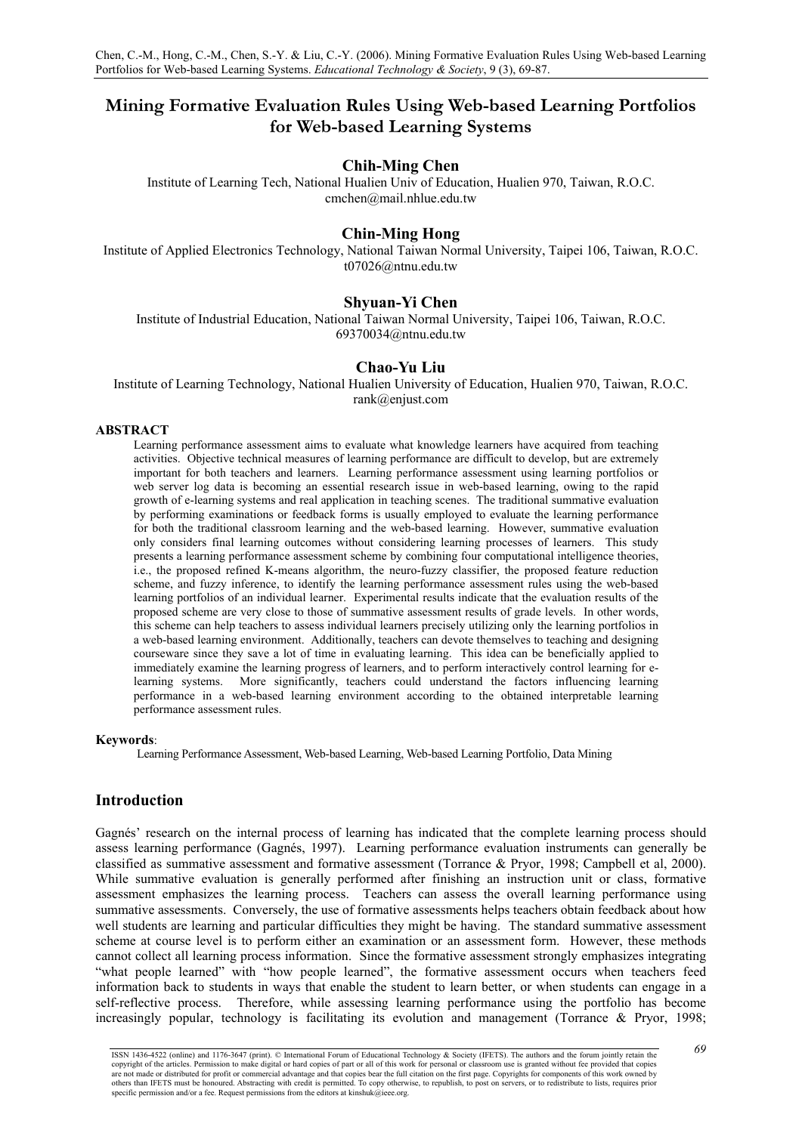# **Mining Formative Evaluation Rules Using Web-based Learning Portfolios for Web-based Learning Systems**

### **Chih-Ming Chen**

Institute of Learning Tech, National Hualien Univ of Education, Hualien 970, Taiwan, R.O.C. cmchen@mail.nhlue.edu.tw

### **Chin-Ming Hong**

Institute of Applied Electronics Technology, National Taiwan Normal University, Taipei 106, Taiwan, R.O.C. t07026@ntnu.edu.tw

### **Shyuan-Yi Chen**

Institute of Industrial Education, National Taiwan Normal University, Taipei 106, Taiwan, R.O.C. 69370034@ntnu.edu.tw

### **Chao-Yu Liu**

Institute of Learning Technology, National Hualien University of Education, Hualien 970, Taiwan, R.O.C. rank@enjust.com

#### **ABSTRACT**

Learning performance assessment aims to evaluate what knowledge learners have acquired from teaching activities. Objective technical measures of learning performance are difficult to develop, but are extremely important for both teachers and learners. Learning performance assessment using learning portfolios or web server log data is becoming an essential research issue in web-based learning, owing to the rapid growth of e-learning systems and real application in teaching scenes. The traditional summative evaluation by performing examinations or feedback forms is usually employed to evaluate the learning performance for both the traditional classroom learning and the web-based learning. However, summative evaluation only considers final learning outcomes without considering learning processes of learners. This study presents a learning performance assessment scheme by combining four computational intelligence theories, i.e., the proposed refined K-means algorithm, the neuro-fuzzy classifier, the proposed feature reduction scheme, and fuzzy inference, to identify the learning performance assessment rules using the web-based learning portfolios of an individual learner. Experimental results indicate that the evaluation results of the proposed scheme are very close to those of summative assessment results of grade levels. In other words, this scheme can help teachers to assess individual learners precisely utilizing only the learning portfolios in a web-based learning environment. Additionally, teachers can devote themselves to teaching and designing courseware since they save a lot of time in evaluating learning. This idea can be beneficially applied to immediately examine the learning progress of learners, and to perform interactively control learning for elearning systems. More significantly, teachers could understand the factors influencing learning performance in a web-based learning environment according to the obtained interpretable learning performance assessment rules.

#### **Keywords**:

Learning Performance Assessment, Web-based Learning, Web-based Learning Portfolio, Data Mining

### **Introduction**

Gagnés' research on the internal process of learning has indicated that the complete learning process should assess learning performance (Gagnés, 1997). Learning performance evaluation instruments can generally be classified as summative assessment and formative assessment (Torrance & Pryor, 1998; Campbell et al, 2000). While summative evaluation is generally performed after finishing an instruction unit or class, formative assessment emphasizes the learning process. Teachers can assess the overall learning performance using summative assessments. Conversely, the use of formative assessments helps teachers obtain feedback about how well students are learning and particular difficulties they might be having. The standard summative assessment scheme at course level is to perform either an examination or an assessment form. However, these methods cannot collect all learning process information. Since the formative assessment strongly emphasizes integrating "what people learned" with "how people learned", the formative assessment occurs when teachers feed information back to students in ways that enable the student to learn better, or when students can engage in a self-reflective process. Therefore, while assessing learning performance using the portfolio has become increasingly popular, technology is facilitating its evolution and management (Torrance & Pryor, 1998;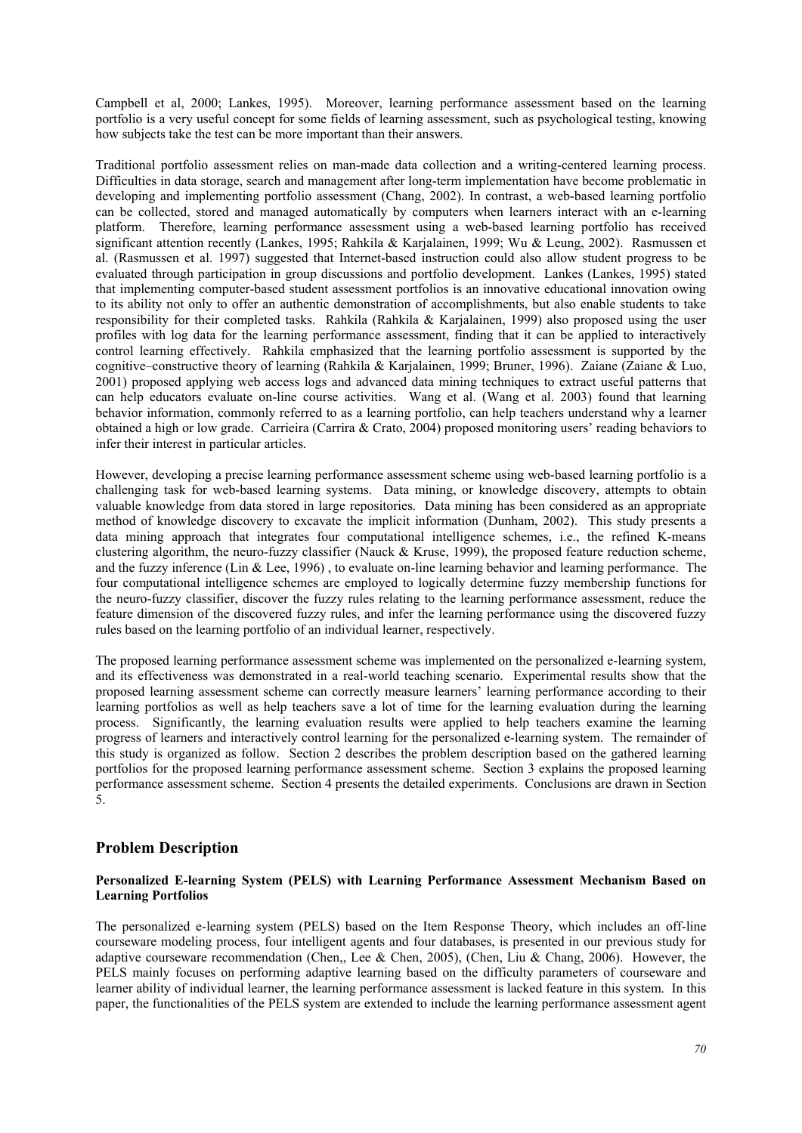Campbell et al, 2000; Lankes, 1995). Moreover, learning performance assessment based on the learning portfolio is a very useful concept for some fields of learning assessment, such as psychological testing, knowing how subjects take the test can be more important than their answers.

Traditional portfolio assessment relies on man-made data collection and a writing-centered learning process. Difficulties in data storage, search and management after long-term implementation have become problematic in developing and implementing portfolio assessment (Chang, 2002). In contrast, a web-based learning portfolio can be collected, stored and managed automatically by computers when learners interact with an e-learning platform. Therefore, learning performance assessment using a web-based learning portfolio has received significant attention recently (Lankes, 1995; Rahkila & Karjalainen, 1999; Wu & Leung, 2002). Rasmussen et al. (Rasmussen et al. 1997) suggested that Internet-based instruction could also allow student progress to be evaluated through participation in group discussions and portfolio development. Lankes (Lankes, 1995) stated that implementing computer-based student assessment portfolios is an innovative educational innovation owing to its ability not only to offer an authentic demonstration of accomplishments, but also enable students to take responsibility for their completed tasks. Rahkila (Rahkila & Karjalainen, 1999) also proposed using the user profiles with log data for the learning performance assessment, finding that it can be applied to interactively control learning effectively. Rahkila emphasized that the learning portfolio assessment is supported by the cognitive–constructive theory of learning (Rahkila & Karjalainen, 1999; Bruner, 1996). Zaiane (Zaiane & Luo, 2001) proposed applying web access logs and advanced data mining techniques to extract useful patterns that can help educators evaluate on-line course activities. Wang et al. (Wang et al. 2003) found that learning behavior information, commonly referred to as a learning portfolio, can help teachers understand why a learner obtained a high or low grade. Carrieira (Carrira & Crato, 2004) proposed monitoring users' reading behaviors to infer their interest in particular articles.

However, developing a precise learning performance assessment scheme using web-based learning portfolio is a challenging task for web-based learning systems. Data mining, or knowledge discovery, attempts to obtain valuable knowledge from data stored in large repositories. Data mining has been considered as an appropriate method of knowledge discovery to excavate the implicit information (Dunham, 2002). This study presents a data mining approach that integrates four computational intelligence schemes, i.e., the refined K-means clustering algorithm, the neuro-fuzzy classifier (Nauck & Kruse, 1999), the proposed feature reduction scheme, and the fuzzy inference (Lin & Lee, 1996) , to evaluate on-line learning behavior and learning performance. The four computational intelligence schemes are employed to logically determine fuzzy membership functions for the neuro-fuzzy classifier, discover the fuzzy rules relating to the learning performance assessment, reduce the feature dimension of the discovered fuzzy rules, and infer the learning performance using the discovered fuzzy rules based on the learning portfolio of an individual learner, respectively.

The proposed learning performance assessment scheme was implemented on the personalized e-learning system, and its effectiveness was demonstrated in a real-world teaching scenario. Experimental results show that the proposed learning assessment scheme can correctly measure learners' learning performance according to their learning portfolios as well as help teachers save a lot of time for the learning evaluation during the learning process. Significantly, the learning evaluation results were applied to help teachers examine the learning progress of learners and interactively control learning for the personalized e-learning system. The remainder of this study is organized as follow. Section 2 describes the problem description based on the gathered learning portfolios for the proposed learning performance assessment scheme. Section 3 explains the proposed learning performance assessment scheme. Section 4 presents the detailed experiments. Conclusions are drawn in Section 5.

### **Problem Description**

### **Personalized E-learning System (PELS) with Learning Performance Assessment Mechanism Based on Learning Portfolios**

The personalized e-learning system (PELS) based on the Item Response Theory, which includes an off-line courseware modeling process, four intelligent agents and four databases, is presented in our previous study for adaptive courseware recommendation (Chen,, Lee & Chen, 2005), (Chen, Liu & Chang, 2006). However, the PELS mainly focuses on performing adaptive learning based on the difficulty parameters of courseware and learner ability of individual learner, the learning performance assessment is lacked feature in this system. In this paper, the functionalities of the PELS system are extended to include the learning performance assessment agent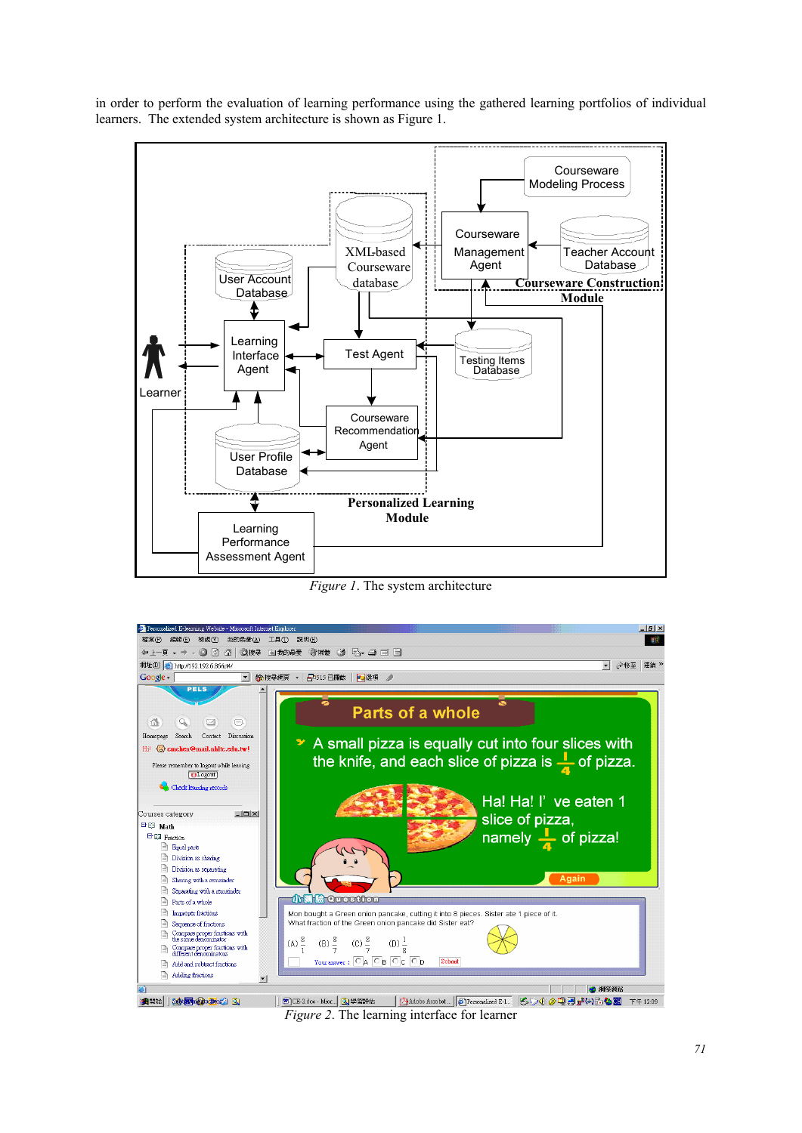

in order to perform the evaluation of learning performance using the gathered learning portfolios of individual learners. The extended system architecture is shown as Figure 1.

*Figure 1*. The system architecture



*Figure 2*. The learning interface for learner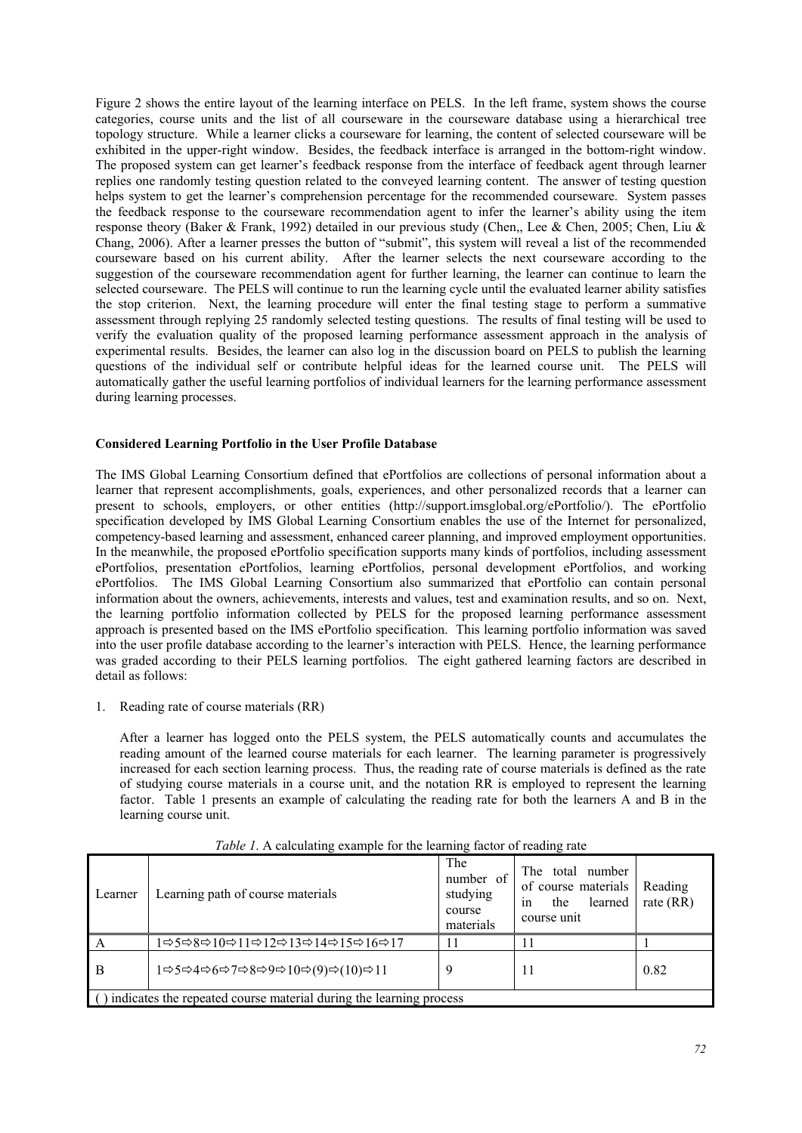Figure 2 shows the entire layout of the learning interface on PELS. In the left frame, system shows the course categories, course units and the list of all courseware in the courseware database using a hierarchical tree topology structure. While a learner clicks a courseware for learning, the content of selected courseware will be exhibited in the upper-right window. Besides, the feedback interface is arranged in the bottom-right window. The proposed system can get learner's feedback response from the interface of feedback agent through learner replies one randomly testing question related to the conveyed learning content. The answer of testing question helps system to get the learner's comprehension percentage for the recommended courseware. System passes the feedback response to the courseware recommendation agent to infer the learner's ability using the item response theory (Baker & Frank, 1992) detailed in our previous study (Chen,, Lee & Chen, 2005; Chen, Liu & Chang, 2006). After a learner presses the button of "submit", this system will reveal a list of the recommended courseware based on his current ability. After the learner selects the next courseware according to the suggestion of the courseware recommendation agent for further learning, the learner can continue to learn the selected courseware. The PELS will continue to run the learning cycle until the evaluated learner ability satisfies the stop criterion. Next, the learning procedure will enter the final testing stage to perform a summative assessment through replying 25 randomly selected testing questions. The results of final testing will be used to verify the evaluation quality of the proposed learning performance assessment approach in the analysis of experimental results. Besides, the learner can also log in the discussion board on PELS to publish the learning questions of the individual self or contribute helpful ideas for the learned course unit. The PELS will automatically gather the useful learning portfolios of individual learners for the learning performance assessment during learning processes.

### **Considered Learning Portfolio in the User Profile Database**

The IMS Global Learning Consortium defined that ePortfolios are collections of personal information about a learner that represent accomplishments, goals, experiences, and other personalized records that a learner can present to schools, employers, or other entities (http://support.imsglobal.org/ePortfolio/). The ePortfolio specification developed by IMS Global Learning Consortium enables the use of the Internet for personalized, competency-based learning and assessment, enhanced career planning, and improved employment opportunities. In the meanwhile, the proposed ePortfolio specification supports many kinds of portfolios, including assessment ePortfolios, presentation ePortfolios, learning ePortfolios, personal development ePortfolios, and working ePortfolios. The IMS Global Learning Consortium also summarized that ePortfolio can contain personal information about the owners, achievements, interests and values, test and examination results, and so on. Next, the learning portfolio information collected by PELS for the proposed learning performance assessment approach is presented based on the IMS ePortfolio specification. This learning portfolio information was saved into the user profile database according to the learner's interaction with PELS. Hence, the learning performance was graded according to their PELS learning portfolios. The eight gathered learning factors are described in detail as follows:

1. Reading rate of course materials (RR)

After a learner has logged onto the PELS system, the PELS automatically counts and accumulates the reading amount of the learned course materials for each learner. The learning parameter is progressively increased for each section learning process. Thus, the reading rate of course materials is defined as the rate of studying course materials in a course unit, and the notation RR is employed to represent the learning factor. Table 1 presents an example of calculating the reading rate for both the learners A and B in the learning course unit.

| Learner                                                               | Learning path of course materials                                                                                                                                        | The<br>number of<br>studying<br>course<br>materials | The total number<br>of course materials<br>learned<br>the<br>1n<br>course unit | Reading<br>rate $(RR)$ |  |  |  |
|-----------------------------------------------------------------------|--------------------------------------------------------------------------------------------------------------------------------------------------------------------------|-----------------------------------------------------|--------------------------------------------------------------------------------|------------------------|--|--|--|
| A                                                                     | ⇨5⇨8⇨10⇨11⇨12⇨13⇨14⇨15⇨16⇨17                                                                                                                                             |                                                     |                                                                                |                        |  |  |  |
| l B                                                                   | 1 $\Rightarrow$ 5 $\Rightarrow$ 4 $\Rightarrow$ 6 $\Rightarrow$ 7 $\Rightarrow$ 8 $\Rightarrow$ 9 $\Rightarrow$ 10 $\Rightarrow$ (9) $\Rightarrow$ (10) $\Rightarrow$ 11 | Q                                                   |                                                                                | 0.82                   |  |  |  |
| () indicates the repeated course material during the learning process |                                                                                                                                                                          |                                                     |                                                                                |                        |  |  |  |

*Table 1*. A calculating example for the learning factor of reading rate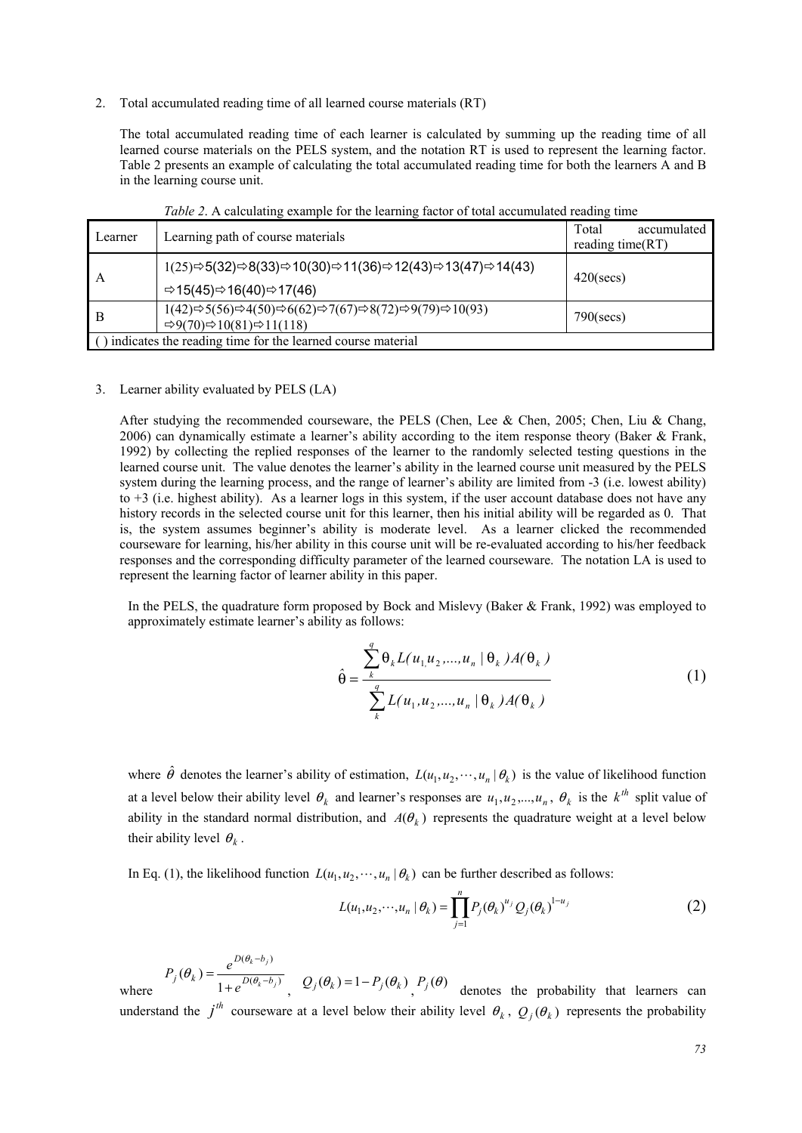2. Total accumulated reading time of all learned course materials (RT)

The total accumulated reading time of each learner is calculated by summing up the reading time of all learned course materials on the PELS system, and the notation RT is used to represent the learning factor. Table 2 presents an example of calculating the total accumulated reading time for both the learners A and B in the learning course unit.

| Learner | Learning path of course materials                                                                                                                                                                        | Total<br>accumulated<br>reading time $(RT)$ |
|---------|----------------------------------------------------------------------------------------------------------------------------------------------------------------------------------------------------------|---------------------------------------------|
| A       | $1(25)$ $\Leftrightarrow$ 5(32) $\Leftrightarrow$ 8(33) $\Leftrightarrow$ 10(30) $\Leftrightarrow$ 11(36) $\Leftrightarrow$ 12(43) $\Leftrightarrow$ 13(47) $\Leftrightarrow$ 14(43)                     | $420$ (secs)                                |
|         | $\Rightarrow$ 15(45) $\Rightarrow$ 16(40) $\Rightarrow$ 17(46)                                                                                                                                           |                                             |
| B       | $1(42) \Rightarrow 5(56) \Rightarrow 4(50) \Rightarrow 6(62) \Rightarrow 7(67) \Rightarrow 8(72) \Rightarrow 9(79) \Rightarrow 10(93)$<br>$\Rightarrow$ 9(70) $\Rightarrow$ 10(81) $\Rightarrow$ 11(118) | $790$ (secs)                                |
|         | indicates the reading time for the learned course material                                                                                                                                               |                                             |

*Table 2*. A calculating example for the learning factor of total accumulated reading time

#### 3. Learner ability evaluated by PELS (LA)

After studying the recommended courseware, the PELS (Chen, Lee & Chen, 2005; Chen, Liu & Chang, 2006) can dynamically estimate a learner's ability according to the item response theory (Baker & Frank, 1992) by collecting the replied responses of the learner to the randomly selected testing questions in the learned course unit. The value denotes the learner's ability in the learned course unit measured by the PELS system during the learning process, and the range of learner's ability are limited from -3 (i.e. lowest ability) to  $+3$  (i.e. highest ability). As a learner logs in this system, if the user account database does not have any history records in the selected course unit for this learner, then his initial ability will be regarded as 0. That is, the system assumes beginner's ability is moderate level. As a learner clicked the recommended courseware for learning, his/her ability in this course unit will be re-evaluated according to his/her feedback responses and the corresponding difficulty parameter of the learned courseware. The notation LA is used to represent the learning factor of learner ability in this paper.

In the PELS, the quadrature form proposed by Bock and Mislevy (Baker & Frank, 1992) was employed to approximately estimate learner's ability as follows:

$$
\hat{\theta} = \frac{\sum_{k}^{q} \theta_{k} L(u_{1,}u_{2},...,u_{n} | \theta_{k}) A(\theta_{k})}{\sum_{k}^{q} L(u_{1,}u_{2},...,u_{n} | \theta_{k}) A(\theta_{k})}
$$
(1)

where  $\hat{\theta}$  denotes the learner's ability of estimation,  $L(u_1, u_2, \dots, u_n | \theta_k)$  is the value of likelihood function at a level below their ability level  $\theta_k$  and learner's responses are  $u_1, u_2, ..., u_n$ ,  $\theta_k$  is the  $k^{th}$  split value of ability in the standard normal distribution, and  $A(\theta_k)$  represents the quadrature weight at a level below their ability level  $\theta_k$ .

In Eq. (1), the likelihood function  $L(u_1, u_2, \dots, u_n | \theta_k)$  can be further described as follows:

$$
L(u_1, u_2, \cdots, u_n | \theta_k) = \prod_{j=1}^n P_j(\theta_k)^{u_j} Q_j(\theta_k)^{1-u_j}
$$
 (2)

where  $1 + e^{D(\theta_k - b_j)}$  $(\theta_k - b_i)$ 1  $(\theta_k) = \frac{c}{1 + e^{D(\theta_k - b)}}$  $k = \nu_j$  $D(\theta_k - b)$  $D(\theta_k - b)$  $P_j(\theta_k) = \frac{e^{D(\theta_k - b_j)}}{1 + e^{D(\theta_k - b_j)}}$  $=\frac{C}{1+e^{D(\theta)}}$ θ  $\theta_k$ ) =  $\frac{\partial}{\partial t} \left( \frac{\partial}{\partial t} \theta_k - b_j \right)$ ,  $Q_j(\theta_k) = 1 - P_j(\theta_k)$ ,  $P_j(\theta)$  denotes the probability that learners can understand the  $j^{th}$  courseware at a level below their ability level  $\theta_k$ ,  $Q_i(\theta_k)$  represents the probability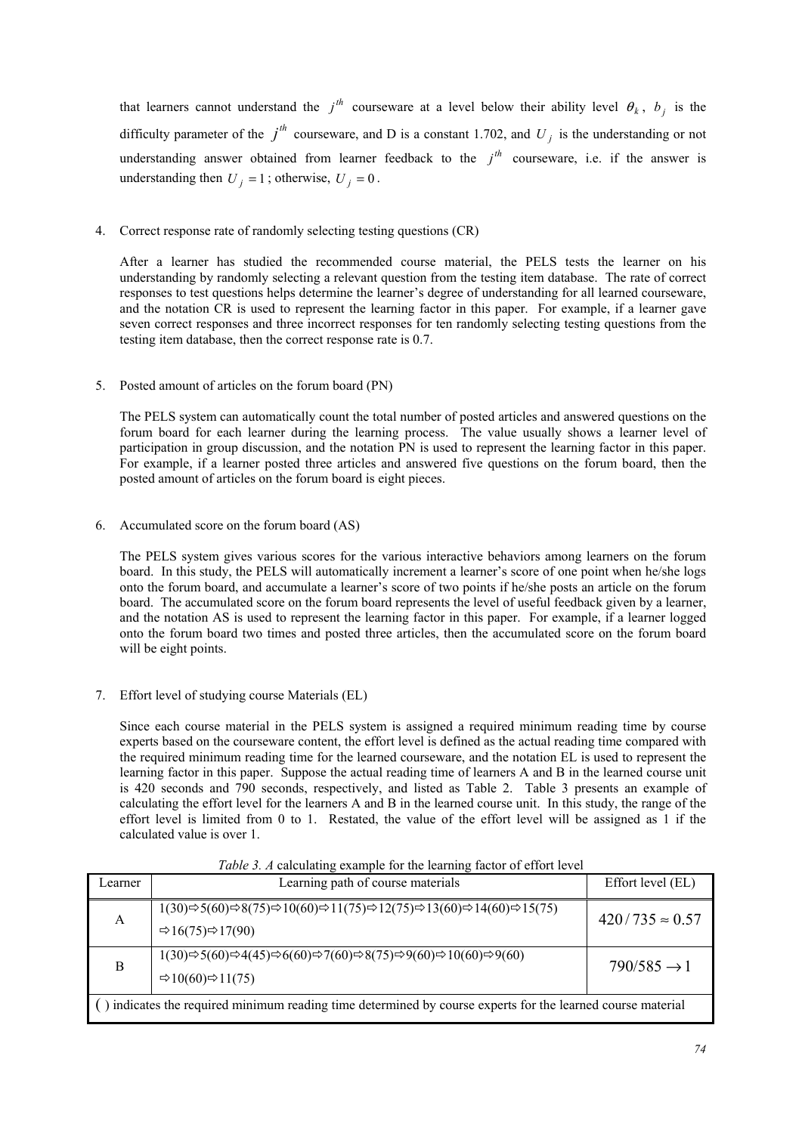that learners cannot understand the  $j<sup>th</sup>$  courseware at a level below their ability level  $\theta_k$ ,  $b_j$  is the difficulty parameter of the  $j<sup>th</sup>$  courseware, and D is a constant 1.702, and  $U<sub>j</sub>$  is the understanding or not understanding answer obtained from learner feedback to the  $j<sup>th</sup>$  courseware, i.e. if the answer is understanding then  $U_i = 1$ ; otherwise,  $U_i = 0$ .

4. Correct response rate of randomly selecting testing questions (CR)

After a learner has studied the recommended course material, the PELS tests the learner on his understanding by randomly selecting a relevant question from the testing item database. The rate of correct responses to test questions helps determine the learner's degree of understanding for all learned courseware, and the notation CR is used to represent the learning factor in this paper. For example, if a learner gave seven correct responses and three incorrect responses for ten randomly selecting testing questions from the testing item database, then the correct response rate is 0.7.

5. Posted amount of articles on the forum board (PN)

The PELS system can automatically count the total number of posted articles and answered questions on the forum board for each learner during the learning process. The value usually shows a learner level of participation in group discussion, and the notation PN is used to represent the learning factor in this paper. For example, if a learner posted three articles and answered five questions on the forum board, then the posted amount of articles on the forum board is eight pieces.

6. Accumulated score on the forum board (AS)

The PELS system gives various scores for the various interactive behaviors among learners on the forum board. In this study, the PELS will automatically increment a learner's score of one point when he/she logs onto the forum board, and accumulate a learner's score of two points if he/she posts an article on the forum board. The accumulated score on the forum board represents the level of useful feedback given by a learner, and the notation AS is used to represent the learning factor in this paper. For example, if a learner logged onto the forum board two times and posted three articles, then the accumulated score on the forum board will be eight points.

7. Effort level of studying course Materials (EL)

Since each course material in the PELS system is assigned a required minimum reading time by course experts based on the courseware content, the effort level is defined as the actual reading time compared with the required minimum reading time for the learned courseware, and the notation EL is used to represent the learning factor in this paper. Suppose the actual reading time of learners A and B in the learned course unit is 420 seconds and 790 seconds, respectively, and listed as Table 2. Table 3 presents an example of calculating the effort level for the learners A and B in the learned course unit. In this study, the range of the effort level is limited from 0 to 1. Restated, the value of the effort level will be assigned as 1 if the calculated value is over 1.

| Learner | <i>raote 5. A calculating example for the realiting factor of criote force</i><br>Learning path of course materials                                                                                                    | Effort level (EL)       |
|---------|------------------------------------------------------------------------------------------------------------------------------------------------------------------------------------------------------------------------|-------------------------|
| A       | 1(30) $\Rightarrow$ 5(60) $\Rightarrow$ 8(75) $\Rightarrow$ 10(60) $\Rightarrow$ 11(75) $\Rightarrow$ 12(75) $\Rightarrow$ 13(60) $\Rightarrow$ 14(60) $\Rightarrow$ 15(75)<br>$\Rightarrow 16(75) \Rightarrow 17(90)$ | $420/735 \approx 0.57$  |
| B       | 1(30) $\Rightarrow$ 5(60) $\Rightarrow$ 4(45) $\Rightarrow$ 6(60) $\Rightarrow$ 7(60) $\Rightarrow$ 8(75) $\Rightarrow$ 9(60) $\Rightarrow$ 10(60) $\Rightarrow$ 9(60)<br>$\Rightarrow 10(60) \Rightarrow 11(75)$      | $790/585 \rightarrow 1$ |
|         | ) indicates the required minimum reading time determined by course experts for the learned course material                                                                                                             |                         |

*Table 3. A* calculating example for the learning factor of effort level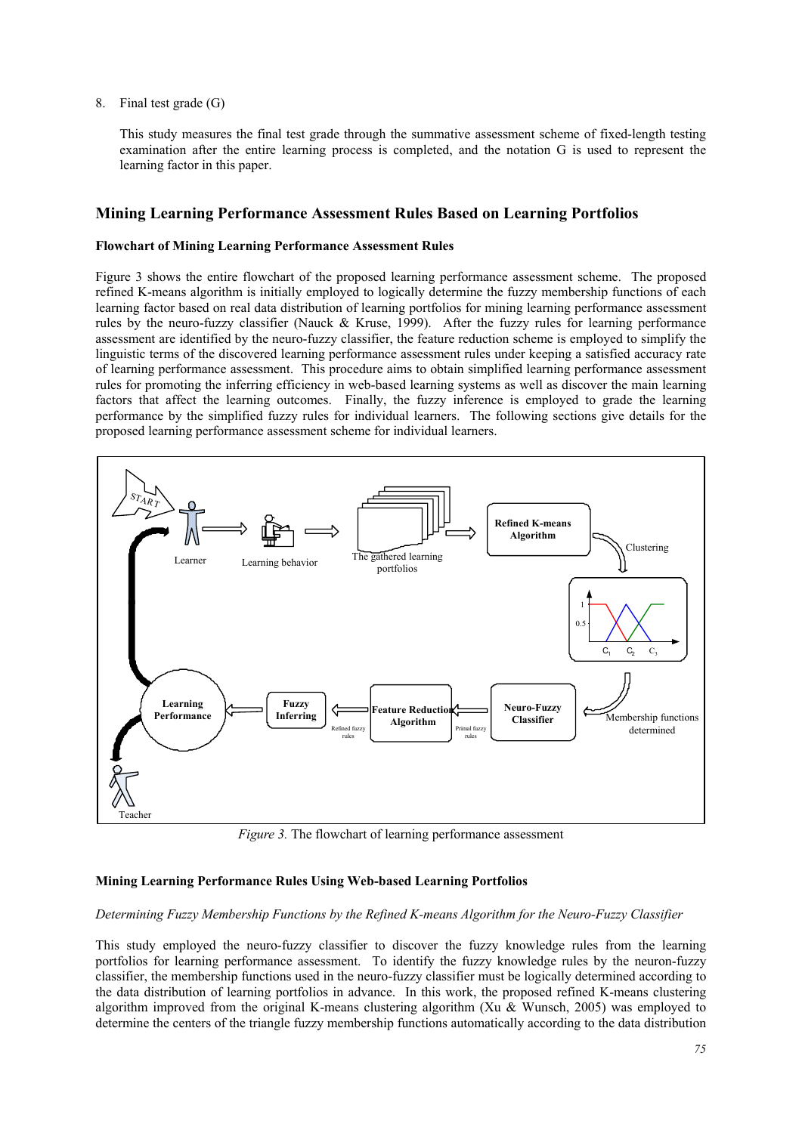#### 8. Final test grade (G)

This study measures the final test grade through the summative assessment scheme of fixed-length testing examination after the entire learning process is completed, and the notation G is used to represent the learning factor in this paper.

### **Mining Learning Performance Assessment Rules Based on Learning Portfolios**

#### **Flowchart of Mining Learning Performance Assessment Rules**

Figure 3 shows the entire flowchart of the proposed learning performance assessment scheme. The proposed refined K-means algorithm is initially employed to logically determine the fuzzy membership functions of each learning factor based on real data distribution of learning portfolios for mining learning performance assessment rules by the neuro-fuzzy classifier (Nauck & Kruse, 1999). After the fuzzy rules for learning performance assessment are identified by the neuro-fuzzy classifier, the feature reduction scheme is employed to simplify the linguistic terms of the discovered learning performance assessment rules under keeping a satisfied accuracy rate of learning performance assessment. This procedure aims to obtain simplified learning performance assessment rules for promoting the inferring efficiency in web-based learning systems as well as discover the main learning factors that affect the learning outcomes. Finally, the fuzzy inference is employed to grade the learning performance by the simplified fuzzy rules for individual learners. The following sections give details for the proposed learning performance assessment scheme for individual learners.



*Figure 3.* The flowchart of learning performance assessment

### **Mining Learning Performance Rules Using Web-based Learning Portfolios**

### *Determining Fuzzy Membership Functions by the Refined K-means Algorithm for the Neuro-Fuzzy Classifier*

This study employed the neuro-fuzzy classifier to discover the fuzzy knowledge rules from the learning portfolios for learning performance assessment. To identify the fuzzy knowledge rules by the neuron-fuzzy classifier, the membership functions used in the neuro-fuzzy classifier must be logically determined according to the data distribution of learning portfolios in advance. In this work, the proposed refined K-means clustering algorithm improved from the original K-means clustering algorithm (Xu & Wunsch, 2005) was employed to determine the centers of the triangle fuzzy membership functions automatically according to the data distribution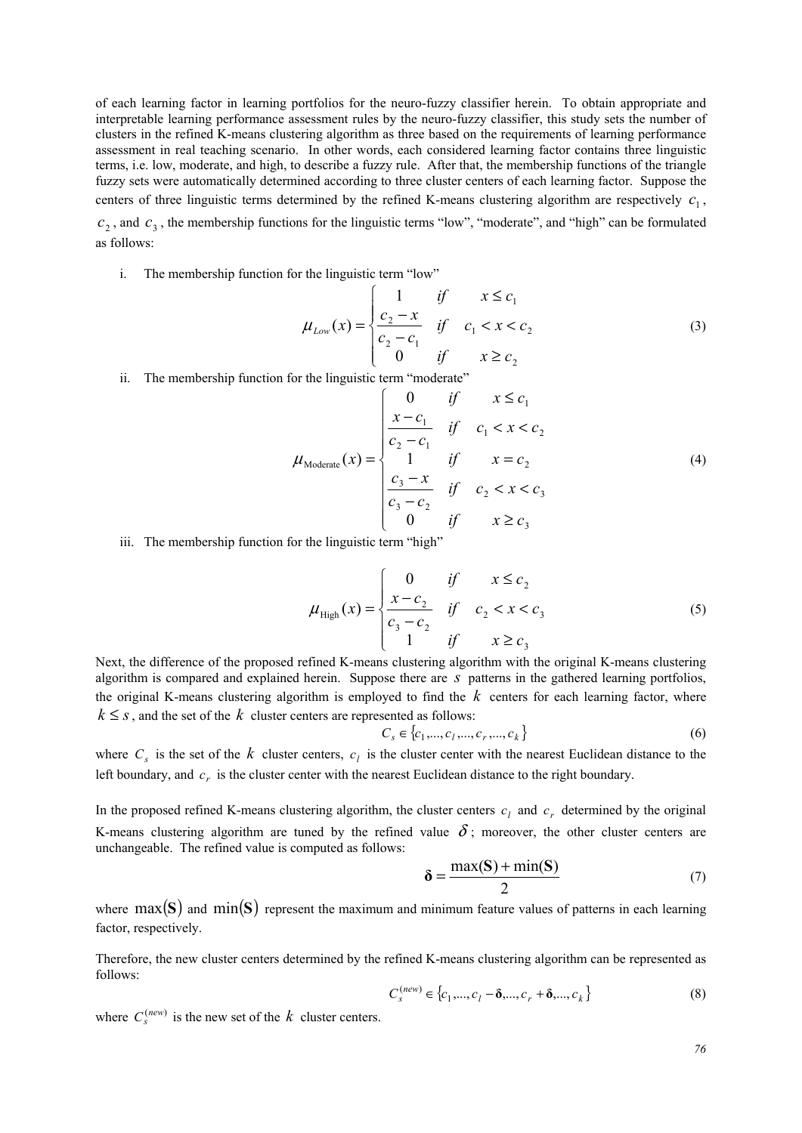of each learning factor in learning portfolios for the neuro-fuzzy classifier herein. To obtain appropriate and interpretable learning performance assessment rules by the neuro-fuzzy classifier, this study sets the number of clusters in the refined K-means clustering algorithm as three based on the requirements of learning performance assessment in real teaching scenario. In other words, each considered learning factor contains three linguistic terms, i.e. low, moderate, and high, to describe a fuzzy rule. After that, the membership functions of the triangle fuzzy sets were automatically determined according to three cluster centers of each learning factor. Suppose the centers of three linguistic terms determined by the refined K-means clustering algorithm are respectively  $c_1$ ,  $c_2$ , and  $c_3$ , the membership functions for the linguistic terms "low", "moderate", and "high" can be formulated as follows:

i. The membership function for the linguistic term "low"

$$
\mu_{Low}(x) = \begin{cases}\n1 & \text{if } x \le c_1 \\
\frac{c_2 - x}{c_2 - c_1} & \text{if } c_1 < x < c_2 \\
0 & \text{if } x \ge c_2\n\end{cases} \tag{3}
$$

ii. The membership function for the linguistic term "moderate"

$$
\mu_{\text{Modernate}}(x) = \begin{cases}\n0 & \text{if } x \leq c_1 \\
\frac{x - c_1}{c_2 - c_1} & \text{if } c_1 < x < c_2 \\
1 & \text{if } x = c_2 \\
\frac{c_3 - x}{c_3 - c_2} & \text{if } c_2 < x < c_3 \\
0 & \text{if } x \geq c_3\n\end{cases} \tag{4}
$$

iii. The membership function for the linguistic term "high"

$$
\mu_{\text{High}}(x) = \begin{cases}\n0 & \text{if } x \leq c_2 \\
\frac{x - c_2}{c_3 - c_2} & \text{if } c_2 < x < c_3 \\
1 & \text{if } x \geq c_3\n\end{cases} \tag{5}
$$

Next, the difference of the proposed refined K-means clustering algorithm with the original K-means clustering algorithm is compared and explained herein. Suppose there are *s* patterns in the gathered learning portfolios, the original K-means clustering algorithm is employed to find the *k* centers for each learning factor, where  $k \leq s$ , and the set of the *k* cluster centers are represented as follows:

$$
C_s \in \{c_1, \dots, c_l, \dots, c_r, \dots, c_k\}
$$
 (6)

where  $C_s$  is the set of the  $k$  cluster centers,  $c_l$  is the cluster center with the nearest Euclidean distance to the left boundary, and  $c_r$  is the cluster center with the nearest Euclidean distance to the right boundary.

In the proposed refined K-means clustering algorithm, the cluster centers  $c_l$  and  $c_r$  determined by the original K-means clustering algorithm are tuned by the refined value  $\delta$ ; moreover, the other cluster centers are unchangeable. The refined value is computed as follows:

$$
\delta = \frac{\max(S) + \min(S)}{2} \tag{7}
$$

where  $max(S)$  and  $min(S)$  represent the maximum and minimum feature values of patterns in each learning factor, respectively.

Therefore, the new cluster centers determined by the refined K-means clustering algorithm can be represented as follows:

$$
C_s^{(new)} \in \{c_1, \dots, c_l - \delta, \dots, c_r + \delta, \dots, c_k\}
$$
 (8)

where  $C_s^{(new)}$  is the new set of the *k* cluster centers.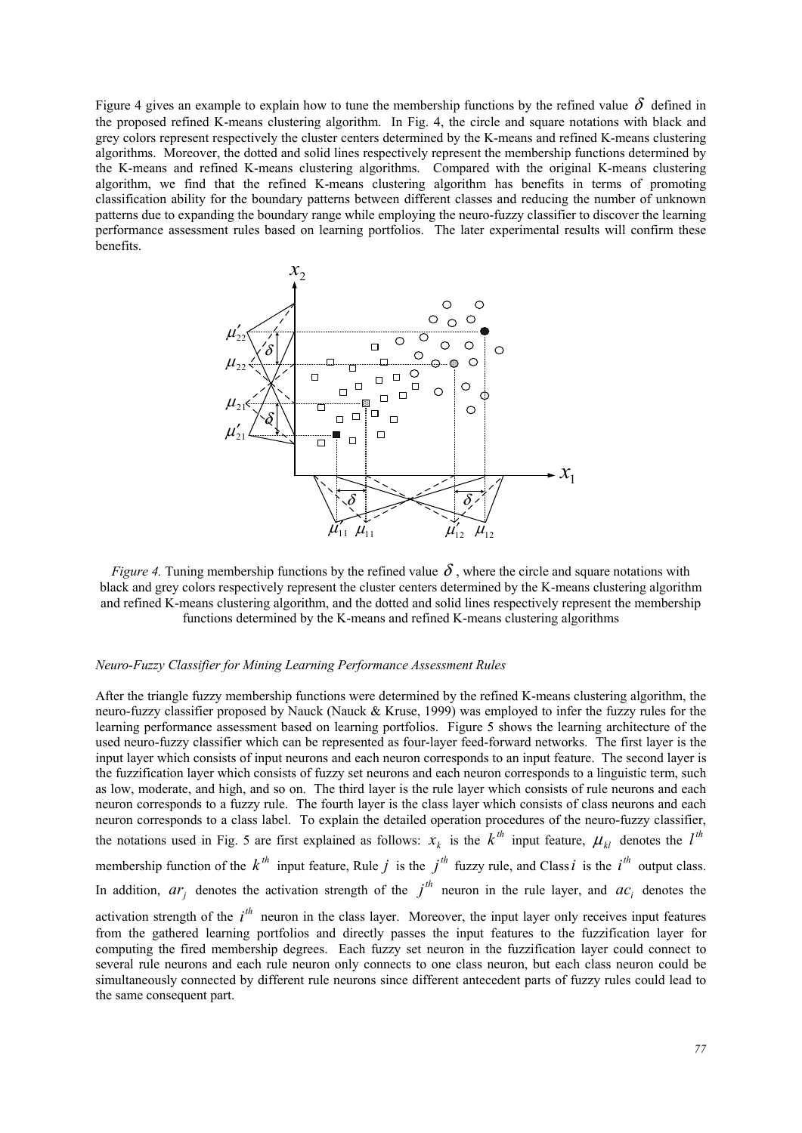Figure 4 gives an example to explain how to tune the membership functions by the refined value  $\delta$  defined in the proposed refined K-means clustering algorithm. In Fig. 4, the circle and square notations with black and grey colors represent respectively the cluster centers determined by the K-means and refined K-means clustering algorithms.Moreover, the dotted and solid lines respectively represent the membership functions determined by the K-means and refined K-means clustering algorithms. Compared with the original K-means clustering algorithm, we find that the refined K-means clustering algorithm has benefits in terms of promoting classification ability for the boundary patterns between different classes and reducing the number of unknown patterns due to expanding the boundary range while employing the neuro-fuzzy classifier to discover the learning performance assessment rules based on learning portfolios. The later experimental results will confirm these benefits.



*Figure 4.* Tuning membership functions by the refined value  $\delta$ , where the circle and square notations with black and grey colors respectively represent the cluster centers determined by the K-means clustering algorithm and refined K-means clustering algorithm, and the dotted and solid lines respectively represent the membership functions determined by the K-means and refined K-means clustering algorithms

### *Neuro-Fuzzy Classifier for Mining Learning Performance Assessment Rules*

After the triangle fuzzy membership functions were determined by the refined K-means clustering algorithm, the neuro-fuzzy classifier proposed by Nauck (Nauck & Kruse, 1999) was employed to infer the fuzzy rules for the learning performance assessment based on learning portfolios. Figure 5 shows the learning architecture of the used neuro-fuzzy classifier which can be represented as four-layer feed-forward networks. The first layer is the input layer which consists of input neurons and each neuron corresponds to an input feature. The second layer is the fuzzification layer which consists of fuzzy set neurons and each neuron corresponds to a linguistic term, such as low, moderate, and high, and so on. The third layer is the rule layer which consists of rule neurons and each neuron corresponds to a fuzzy rule. The fourth layer is the class layer which consists of class neurons and each neuron corresponds to a class label. To explain the detailed operation procedures of the neuro-fuzzy classifier, the notations used in Fig. 5 are first explained as follows:  $x_k$  is the  $k^{th}$  input feature,  $\mu_k$  denotes the  $l^{th}$ membership function of the  $k^{th}$  input feature, Rule *j* is the *j*<sup>th</sup> fuzzy rule, and Class *i* is the *i*<sup>th</sup> output class. In addition,  $ar_i$  denotes the activation strength of the  $j<sup>th</sup>$  neuron in the rule layer, and  $ac_i$  denotes the activation strength of the  $i<sup>th</sup>$  neuron in the class layer. Moreover, the input layer only receives input features from the gathered learning portfolios and directly passes the input features to the fuzzification layer for computing the fired membership degrees. Each fuzzy set neuron in the fuzzification layer could connect to several rule neurons and each rule neuron only connects to one class neuron, but each class neuron could be simultaneously connected by different rule neurons since different antecedent parts of fuzzy rules could lead to the same consequent part.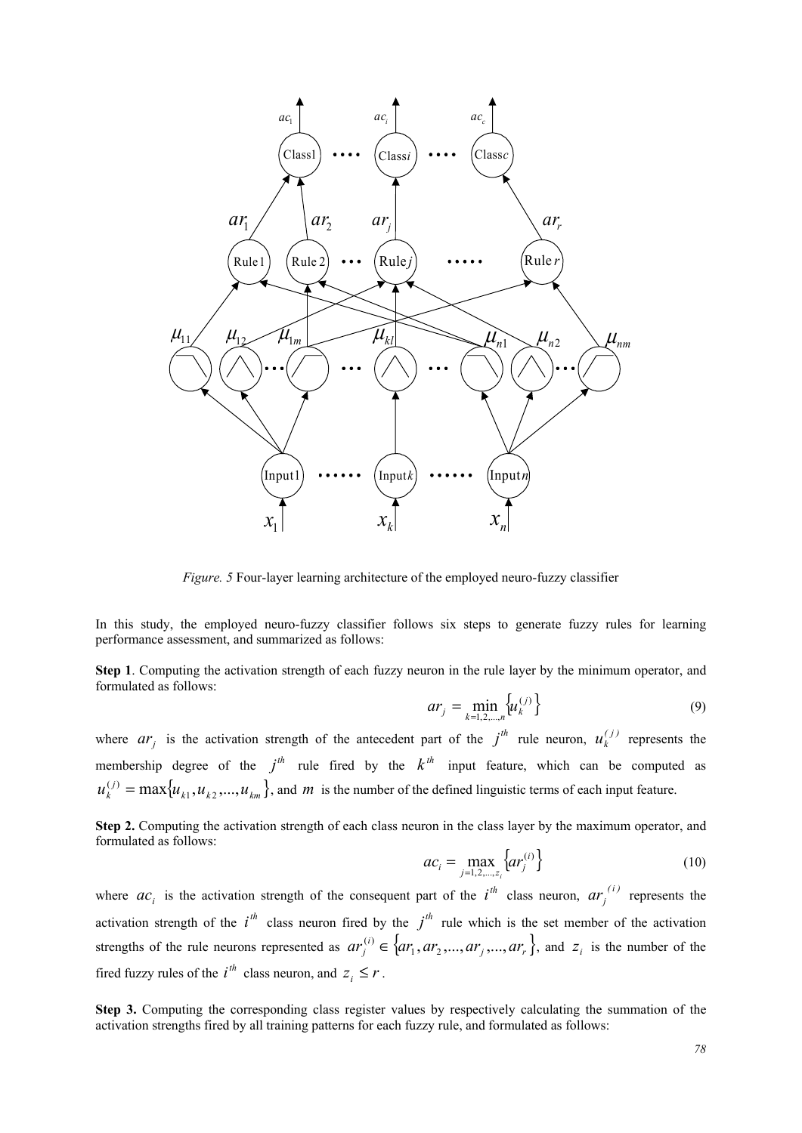

*Figure. 5* Four-layer learning architecture of the employed neuro-fuzzy classifier

In this study, the employed neuro-fuzzy classifier follows six steps to generate fuzzy rules for learning performance assessment, and summarized as follows:

**Step 1**. Computing the activation strength of each fuzzy neuron in the rule layer by the minimum operator, and formulated as follows:

$$
ar_j = \min_{k=1,2,\dots,n} \{u_k^{(j)}\}
$$
 (9)

where  $ar_j$  is the activation strength of the antecedent part of the  $j^h$  rule neuron,  $u_k^{(j)}$  represents the membership degree of the  $j<sup>th</sup>$  rule fired by the  $k<sup>th</sup>$  input feature, which can be computed as  $u_k^{(j)} = \max\{u_{k_1}, u_{k_2},..., u_{km}\}\$ , and *m* is the number of the defined linguistic terms of each input feature.

**Step 2.** Computing the activation strength of each class neuron in the class layer by the maximum operator, and formulated as follows:

$$
ac_i = \max_{j=1,2,\dots,z_i} \{ ar_j^{(i)} \}
$$
 (10)

where  $ac_i$  is the activation strength of the consequent part of the  $i^{th}$  class neuron,  $ar_j^{(i)}$  represents the activation strength of the  $i^{th}$  class neuron fired by the  $j^{th}$  rule which is the set member of the activation strengths of the rule neurons represented as  $ar_j^{(i)} \in \{ar_1, ar_2,..., ar_j,..., ar_r\}$ , and  $z_i$  is the number of the fired fuzzy rules of the  $i^{th}$  class neuron, and  $z_i \leq r$ .

**Step 3.** Computing the corresponding class register values by respectively calculating the summation of the activation strengths fired by all training patterns for each fuzzy rule, and formulated as follows: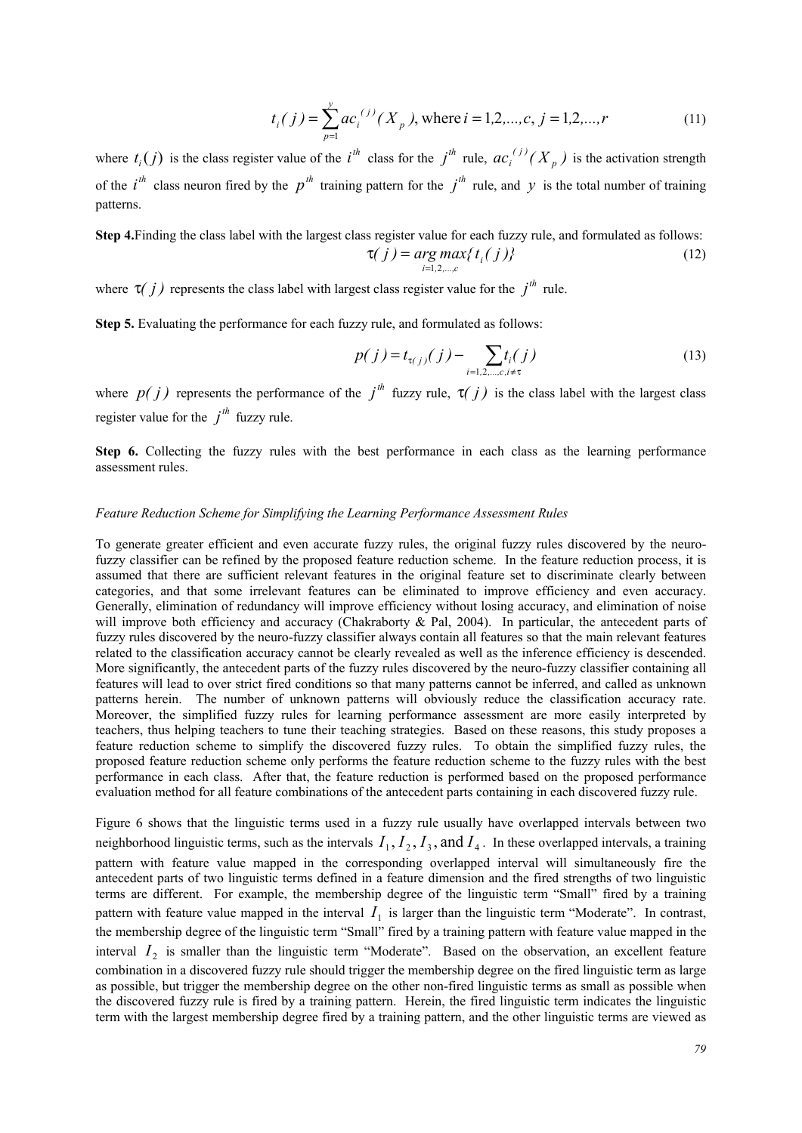$$
t_i(j) = \sum_{p=1}^{y} ac_i^{(j)}(X_p), \text{ where } i = 1,2,...,c, j = 1,2,...,r
$$
 (11)

where  $t_i(j)$  is the class register value of the  $i^{th}$  class for the  $j^{th}$  rule,  $ac_i^{(j)}(X_p)$  is the activation strength of the *i*<sup>th</sup> class neuron fired by the  $p$ <sup>th</sup> training pattern for the *j*<sup>th</sup> rule, and *y* is the total number of training patterns.

**Step 4.**Finding the class label with the largest class register value for each fuzzy rule, and formulated as follows:  $f(j) = \arg \max_{i=1,2,...,c} \{t_i(j)\}$  $\tau(j) = arg max\{t_i(j)\}\$  (12)

where  $\tau(j)$  represents the class label with largest class register value for the  $j<sup>th</sup>$  rule.

**Step 5.** Evaluating the performance for each fuzzy rule, and formulated as follows:

$$
p(j) = t_{\tau(j)}(j) - \sum_{i=1,2,\dots,c,i \neq \tau} t_i(j)
$$
\n(13)

where  $p(i)$  represents the performance of the  $j<sup>th</sup>$  fuzzy rule,  $\tau(j)$  is the class label with the largest class register value for the  $j^{th}$  fuzzy rule.

**Step 6.** Collecting the fuzzy rules with the best performance in each class as the learning performance assessment rules.

#### *Feature Reduction Scheme for Simplifying the Learning Performance Assessment Rules*

To generate greater efficient and even accurate fuzzy rules, the original fuzzy rules discovered by the neurofuzzy classifier can be refined by the proposed feature reduction scheme. In the feature reduction process, it is assumed that there are sufficient relevant features in the original feature set to discriminate clearly between categories, and that some irrelevant features can be eliminated to improve efficiency and even accuracy. Generally, elimination of redundancy will improve efficiency without losing accuracy, and elimination of noise will improve both efficiency and accuracy (Chakraborty & Pal, 2004). In particular, the antecedent parts of fuzzy rules discovered by the neuro-fuzzy classifier always contain all features so that the main relevant features related to the classification accuracy cannot be clearly revealed as well as the inference efficiency is descended. More significantly, the antecedent parts of the fuzzy rules discovered by the neuro-fuzzy classifier containing all features will lead to over strict fired conditions so that many patterns cannot be inferred, and called as unknown patterns herein. The number of unknown patterns will obviously reduce the classification accuracy rate. Moreover, the simplified fuzzy rules for learning performance assessment are more easily interpreted by teachers, thus helping teachers to tune their teaching strategies. Based on these reasons, this study proposes a feature reduction scheme to simplify the discovered fuzzy rules. To obtain the simplified fuzzy rules, the proposed feature reduction scheme only performs the feature reduction scheme to the fuzzy rules with the best performance in each class. After that, the feature reduction is performed based on the proposed performance evaluation method for all feature combinations of the antecedent parts containing in each discovered fuzzy rule.

Figure 6 shows that the linguistic terms used in a fuzzy rule usually have overlapped intervals between two neighborhood linguistic terms, such as the intervals  $I_1, I_2, I_3$ , and  $I_4$ . In these overlapped intervals, a training pattern with feature value mapped in the corresponding overlapped interval will simultaneously fire the antecedent parts of two linguistic terms defined in a feature dimension and the fired strengths of two linguistic terms are different. For example, the membership degree of the linguistic term "Small" fired by a training pattern with feature value mapped in the interval  $I_1$  is larger than the linguistic term "Moderate". In contrast, the membership degree of the linguistic term "Small" fired by a training pattern with feature value mapped in the interval  $I_2$  is smaller than the linguistic term "Moderate". Based on the observation, an excellent feature combination in a discovered fuzzy rule should trigger the membership degree on the fired linguistic term as large as possible, but trigger the membership degree on the other non-fired linguistic terms as small as possible when the discovered fuzzy rule is fired by a training pattern. Herein, the fired linguistic term indicates the linguistic term with the largest membership degree fired by a training pattern, and the other linguistic terms are viewed as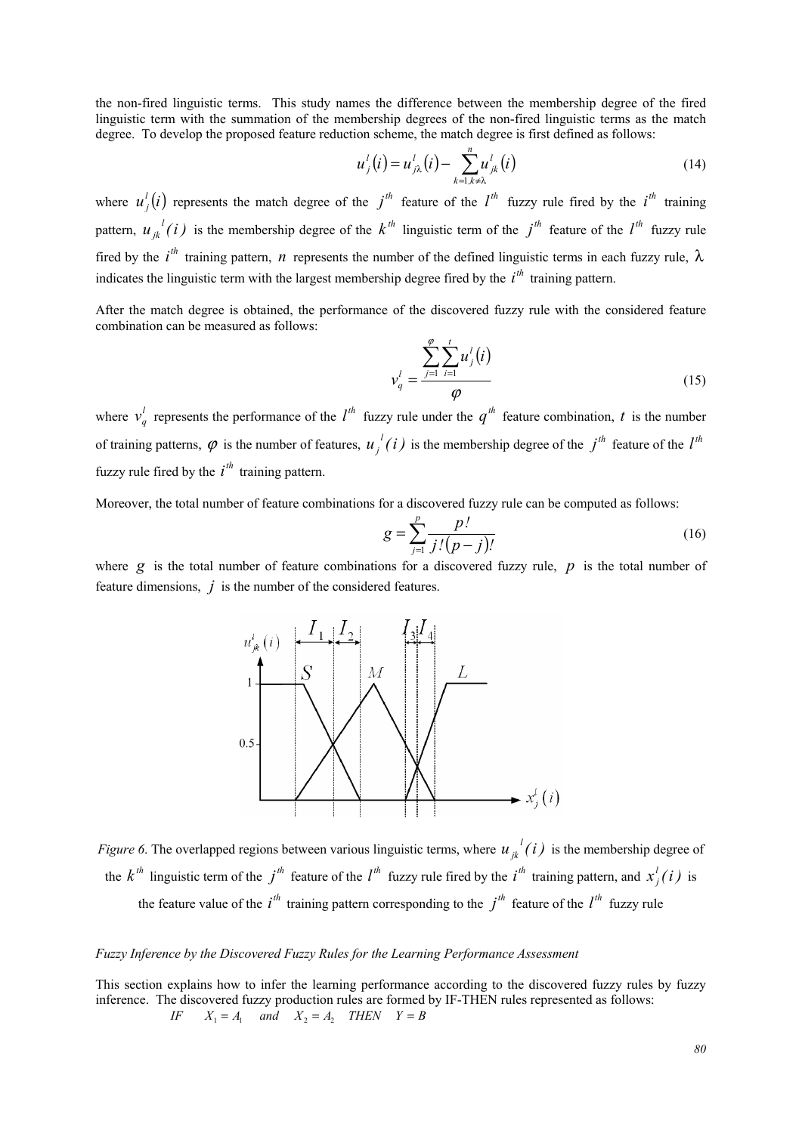the non-fired linguistic terms. This study names the difference between the membership degree of the fired linguistic term with the summation of the membership degrees of the non-fired linguistic terms as the match degree. To develop the proposed feature reduction scheme, the match degree is first defined as follows:

$$
u'_{j}(i) = u'_{j\lambda}(i) - \sum_{k=1, k \neq \lambda}^{n} u'_{jk}(i)
$$
\n(14)

where  $u_j^l(i)$  represents the match degree of the  $j^{th}$  feature of the  $l^{th}$  fuzzy rule fired by the  $i^{th}$  training pattern,  $u_{jk}^{l}(i)$  is the membership degree of the  $k^{th}$  linguistic term of the  $j^{th}$  feature of the  $l^{th}$  fuzzy rule fired by the  $i^{th}$  training pattern, *n* represents the number of the defined linguistic terms in each fuzzy rule,  $\lambda$ indicates the linguistic term with the largest membership degree fired by the  $i<sup>th</sup>$  training pattern.

After the match degree is obtained, the performance of the discovered fuzzy rule with the considered feature combination can be measured as follows:

$$
v_{q}^{l} = \frac{\sum_{j=1}^{\varphi} \sum_{i=1}^{t} u_{j}^{l}(i)}{\varphi}
$$
 (15)

where  $v_q^l$  represents the performance of the  $l^{th}$  fuzzy rule under the  $q^{th}$  feature combination, *t* is the number of training patterns,  $\varphi$  is the number of features,  $u_j^l(i)$  is the membership degree of the  $j^{th}$  feature of the  $l^{th}$ fuzzy rule fired by the  $i^{th}$  training pattern.

Moreover, the total number of feature combinations for a discovered fuzzy rule can be computed as follows:

$$
g = \sum_{j=1}^{p} \frac{p!}{j!(p-j)!}
$$
 (16)

where *g* is the total number of feature combinations for a discovered fuzzy rule, *p* is the total number of feature dimensions, *j* is the number of the considered features.



*Figure 6*. The overlapped regions between various linguistic terms, where  $u_{jk}^{(l)}(i)$  is the membership degree of the  $k^{th}$  linguistic term of the  $j^{th}$  feature of the  $l^{th}$  fuzzy rule fired by the  $i^{th}$  training pattern, and  $x_j^l(i)$  is the feature value of the  $i^{th}$  training pattern corresponding to the  $i^{th}$  feature of the  $l^{th}$  fuzzy rule

### *Fuzzy Inference by the Discovered Fuzzy Rules for the Learning Performance Assessment*

This section explains how to infer the learning performance according to the discovered fuzzy rules by fuzzy inference. The discovered fuzzy production rules are formed by IF-THEN rules represented as follows:

*IF*  $X_1 = A_1$  *and*  $X_2 = A_2$  *THEN*  $Y = B$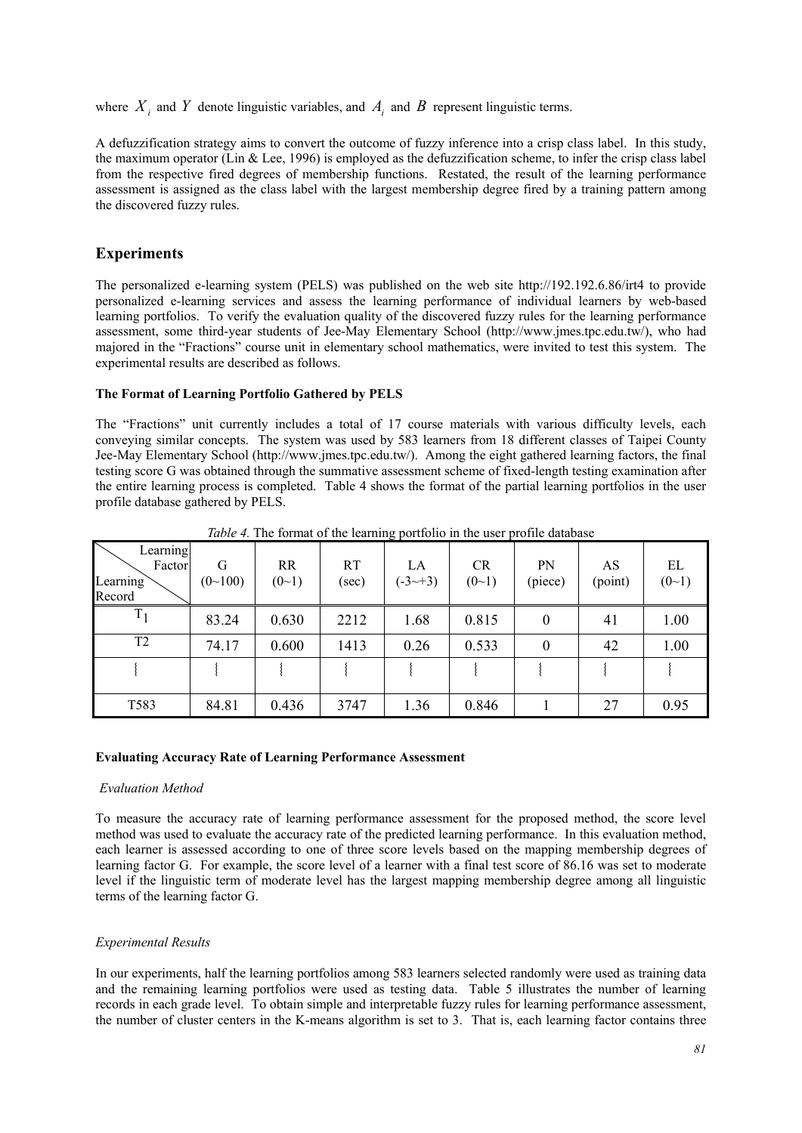where  $X_i$  and  $Y$  denote linguistic variables, and  $A_i$  and  $B$  represent linguistic terms.

A defuzzification strategy aims to convert the outcome of fuzzy inference into a crisp class label. In this study, the maximum operator (Lin & Lee, 1996) is employed as the defuzzification scheme, to infer the crisp class label from the respective fired degrees of membership functions. Restated, the result of the learning performance assessment is assigned as the class label with the largest membership degree fired by a training pattern among the discovered fuzzy rules.

### **Experiments**

The personalized e-learning system (PELS) was published on the web site http://192.192.6.86/irt4 to provide personalized e-learning services and assess the learning performance of individual learners by web-based learning portfolios. To verify the evaluation quality of the discovered fuzzy rules for the learning performance assessment, some third-year students of Jee-May Elementary School (http://www.jmes.tpc.edu.tw/), who had majored in the "Fractions" course unit in elementary school mathematics, were invited to test this system. The experimental results are described as follows.

#### **The Format of Learning Portfolio Gathered by PELS**

The "Fractions" unit currently includes a total of 17 course materials with various difficulty levels, each conveying similar concepts. The system was used by 583 learners from 18 different classes of Taipei County Jee-May Elementary School (http://www.jmes.tpc.edu.tw/). Among the eight gathered learning factors, the final testing score G was obtained through the summative assessment scheme of fixed-length testing examination after the entire learning process is completed. Table 4 shows the format of the partial learning portfolios in the user profile database gathered by PELS.

|                                          |              |                      |                    | $\sim$ $\sim$ $\sim$        |                |                      |               |               |
|------------------------------------------|--------------|----------------------|--------------------|-----------------------------|----------------|----------------------|---------------|---------------|
| Learning<br>Factor<br>Learning<br>Record | G<br>(0~100) | <b>RR</b><br>$(0-1)$ | <b>RT</b><br>(sec) | LA<br>$(-3 \rightarrow +3)$ | CR.<br>$(0-1)$ | <b>PN</b><br>(piece) | AS<br>(point) | EL<br>$(0-1)$ |
| T <sub>1</sub>                           | 83.24        | 0.630                | 2212               | 1.68                        | 0.815          | $\boldsymbol{0}$     | 41            | 1.00          |
| T <sub>2</sub>                           | 74.17        | 0.600                | 1413               | 0.26                        | 0.533          | 0                    | 42            | 1.00          |
|                                          |              |                      |                    |                             |                |                      |               |               |
| T583                                     | 84.81        | 0.436                | 3747               | 1.36                        | 0.846          |                      | 27            | 0.95          |

*Table 4.* The format of the learning portfolio in the user profile database

#### **Evaluating Accuracy Rate of Learning Performance Assessment**

#### *Evaluation Method*

To measure the accuracy rate of learning performance assessment for the proposed method, the score level method was used to evaluate the accuracy rate of the predicted learning performance. In this evaluation method, each learner is assessed according to one of three score levels based on the mapping membership degrees of learning factor G. For example, the score level of a learner with a final test score of 86.16 was set to moderate level if the linguistic term of moderate level has the largest mapping membership degree among all linguistic terms of the learning factor G.

#### *Experimental Results*

In our experiments, half the learning portfolios among 583 learners selected randomly were used as training data and the remaining learning portfolios were used as testing data. Table 5 illustrates the number of learning records in each grade level. To obtain simple and interpretable fuzzy rules for learning performance assessment, the number of cluster centers in the K-means algorithm is set to 3. That is, each learning factor contains three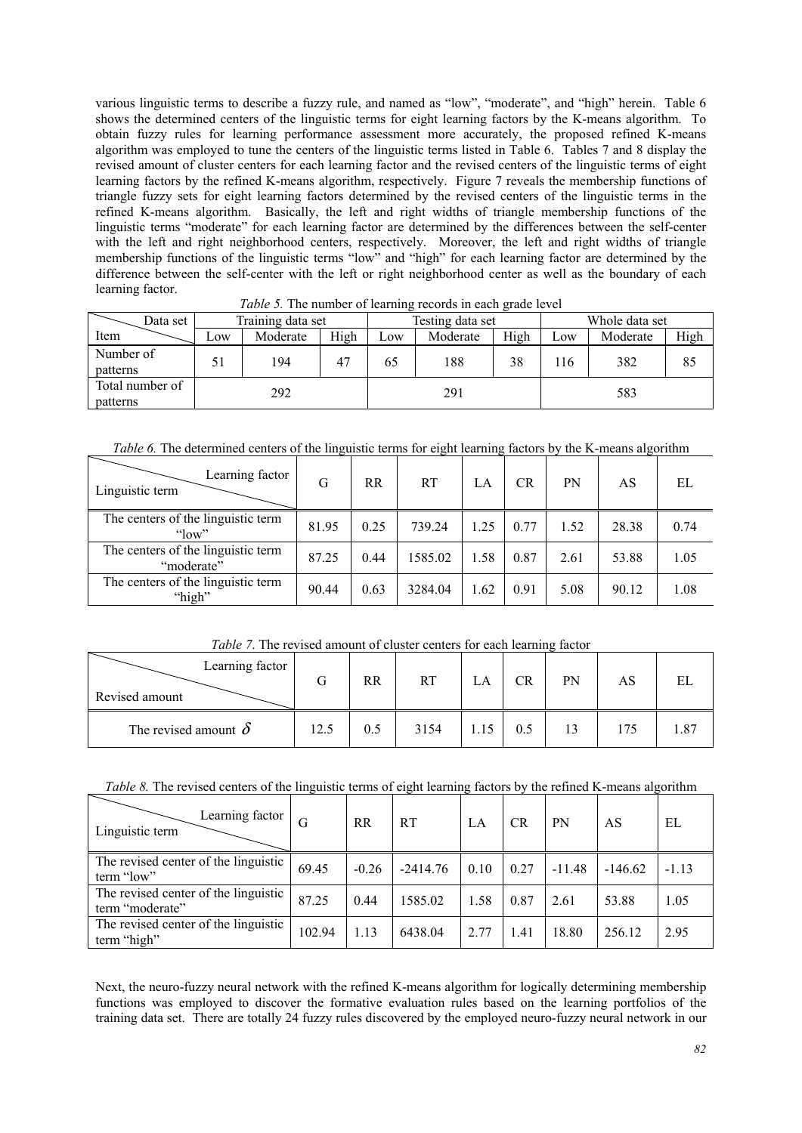various linguistic terms to describe a fuzzy rule, and named as "low", "moderate", and "high" herein. Table 6 shows the determined centers of the linguistic terms for eight learning factors by the K-means algorithm. To obtain fuzzy rules for learning performance assessment more accurately, the proposed refined K-means algorithm was employed to tune the centers of the linguistic terms listed in Table 6. Tables 7 and 8 display the revised amount of cluster centers for each learning factor and the revised centers of the linguistic terms of eight learning factors by the refined K-means algorithm, respectively. Figure 7 reveals the membership functions of triangle fuzzy sets for eight learning factors determined by the revised centers of the linguistic terms in the refined K-means algorithm. Basically, the left and right widths of triangle membership functions of the linguistic terms "moderate" for each learning factor are determined by the differences between the self-center with the left and right neighborhood centers, respectively. Moreover, the left and right widths of triangle membership functions of the linguistic terms "low" and "high" for each learning factor are determined by the difference between the self-center with the left or right neighborhood center as well as the boundary of each learning factor.

| Data set                    | Training data set |          |      |     | Testing data set |      | Whole data set |          |      |
|-----------------------------|-------------------|----------|------|-----|------------------|------|----------------|----------|------|
| Item                        | Low               | Moderate | High | Low | Moderate         | High | Low            | Moderate | High |
| Number of<br>patterns       | 51                | 194      | 47   | 65  | 188              | 38   | 16             | 382      | 85   |
| Total number of<br>patterns |                   | 292      |      |     | 291              |      |                | 583      |      |

*Table 5.* The number of learning records in each grade level

*Table 6.* The determined centers of the linguistic terms for eight learning factors by the K-means algorithm

| Learning factor<br>Linguistic term               | G     | RR   | <b>RT</b> | LA   | CR   | PN   | AS    | EL.  |
|--------------------------------------------------|-------|------|-----------|------|------|------|-------|------|
| The centers of the linguistic term<br>" $low"$   | 81.95 | 0.25 | 739.24    | 1.25 | 0.77 | 1.52 | 28.38 | 0.74 |
| The centers of the linguistic term<br>"moderate" | 87.25 | 0.44 | 1585.02   | 1.58 | 0.87 | 2.61 | 53.88 | 1.05 |
| The centers of the linguistic term<br>"high"     | 90.44 | 0.63 | 3284.04   | 1.62 | 0.91 | 5.08 | 90.12 | 1.08 |

*Table 7*. The revised amount of cluster centers for each learning factor

| Learning factor<br>Revised amount |      | <b>RR</b> | <b>RT</b> | CR  | PN | AS | EL  |
|-----------------------------------|------|-----------|-----------|-----|----|----|-----|
| The revised amount $\delta$       | 12.5 | 0.5       | 3154      | 0.5 |    |    | .87 |

*Table 8.* The revised centers of the linguistic terms of eight learning factors by the refined K-means algorithm

| Learning factor<br>Linguistic term                      | G      | RR      | <b>RT</b>  | LA   | CR.  | PN       | AS        | EL.     |
|---------------------------------------------------------|--------|---------|------------|------|------|----------|-----------|---------|
| The revised center of the linguistic<br>term "low"      | 69.45  | $-0.26$ | $-2414.76$ | 0.10 | 0.27 | $-11.48$ | $-146.62$ | $-1.13$ |
| The revised center of the linguistic<br>term "moderate" | 87.25  | 0.44    | 1585.02    | 1.58 | 0.87 | 2.61     | 53.88     | 1.05    |
| The revised center of the linguistic<br>term "high"     | 102.94 | 1.13    | 6438.04    | 2.77 | 1.41 | 18.80    | 256.12    | 2.95    |

Next, the neuro-fuzzy neural network with the refined K-means algorithm for logically determining membership functions was employed to discover the formative evaluation rules based on the learning portfolios of the training data set. There are totally 24 fuzzy rules discovered by the employed neuro-fuzzy neural network in our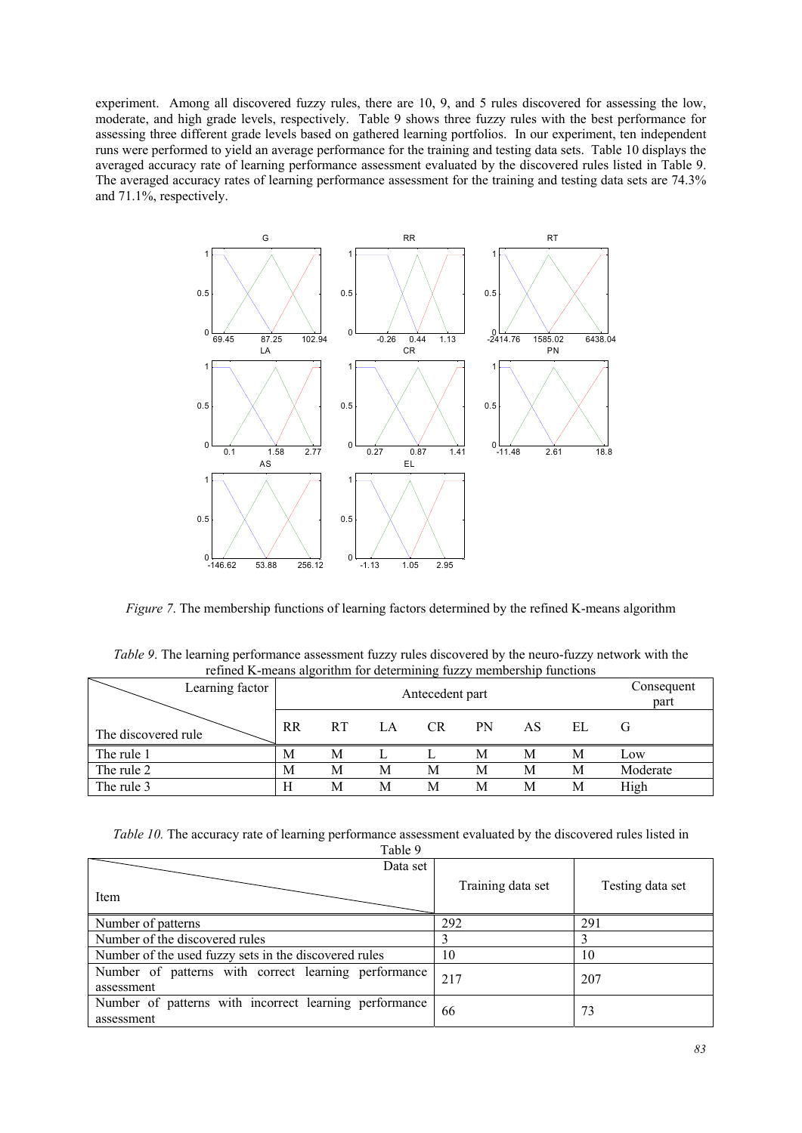experiment. Among all discovered fuzzy rules, there are 10, 9, and 5 rules discovered for assessing the low, moderate, and high grade levels, respectively. Table 9 shows three fuzzy rules with the best performance for assessing three different grade levels based on gathered learning portfolios. In our experiment, ten independent runs were performed to yield an average performance for the training and testing data sets. Table 10 displays the averaged accuracy rate of learning performance assessment evaluated by the discovered rules listed in Table 9. The averaged accuracy rates of learning performance assessment for the training and testing data sets are 74.3% and 71.1%, respectively.



*Figure 7.* The membership functions of learning factors determined by the refined K-means algorithm

*Table 9*. The learning performance assessment fuzzy rules discovered by the neuro-fuzzy network with the refined K-means algorithm for determining fuzzy membership functions

| Learning factor     |           |           |    | Antecedent part |    |    |     | Consequent<br>part |
|---------------------|-----------|-----------|----|-----------------|----|----|-----|--------------------|
| The discovered rule | <b>RR</b> | <b>RT</b> | LA | <b>CR</b>       | PN | AS | EI. | G                  |
| The rule 1          | М         | M         |    |                 | Μ  | M  | М   | Low                |
| The rule 2          | М         | M         | М  | M               | M  | М  | M   | Moderate           |
| The rule 3          | H         | М         | M  | M               | М  | M  | M   | High               |

*Table 10.* The accuracy rate of learning performance assessment evaluated by the discovered rules listed in Table 9

| Data set<br>Item                                                     | Training data set | Testing data set |
|----------------------------------------------------------------------|-------------------|------------------|
| Number of patterns                                                   | 292               | 291              |
| Number of the discovered rules                                       |                   |                  |
| Number of the used fuzzy sets in the discovered rules                | 10                | 10               |
| Number of patterns with correct learning performance<br>assessment   | 217               | 207              |
| Number of patterns with incorrect learning performance<br>assessment | 66                | 73               |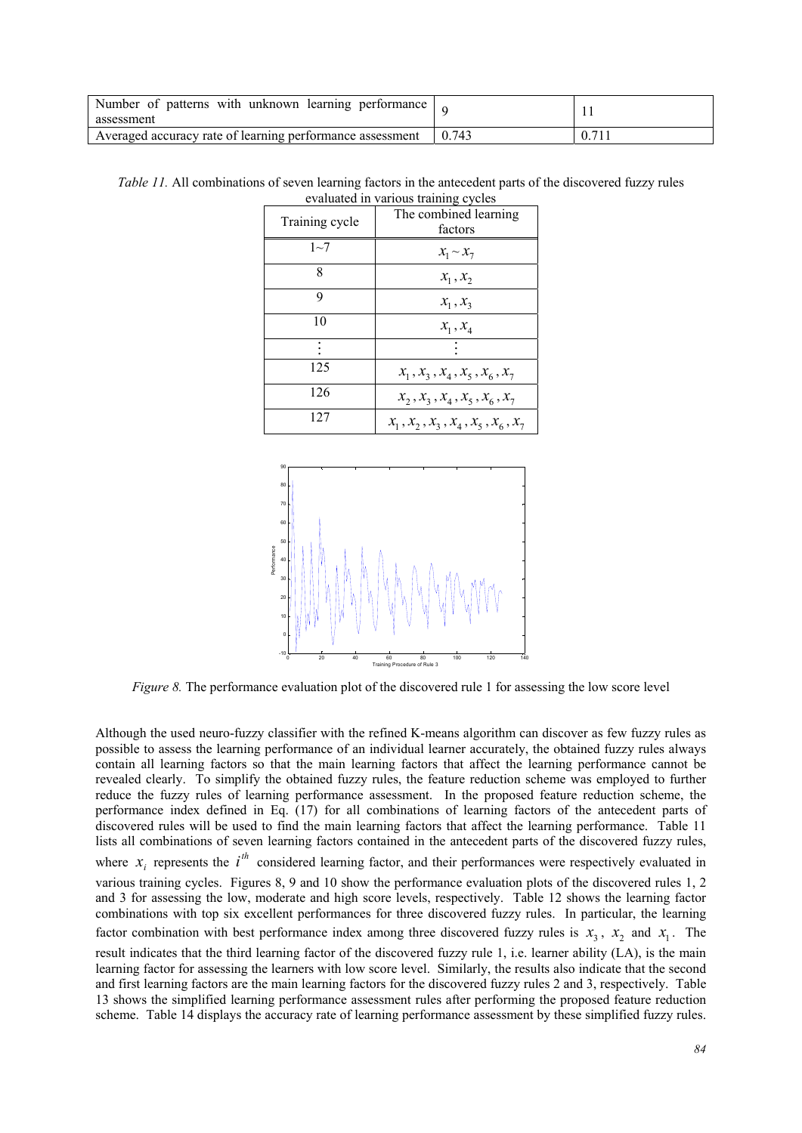| Number of patterns with unknown learning performance $\int_{\Omega}$<br>assessment |       |  |
|------------------------------------------------------------------------------------|-------|--|
| Averaged accuracy rate of learning performance assessment                          | 0.743 |  |

| Table 11. All combinations of seven learning factors in the antecedent parts of the discovered fuzzy rules |
|------------------------------------------------------------------------------------------------------------|
| evaluated in various training cycles                                                                       |

| Training cycle | The combined learning<br>factors    |  |  |  |
|----------------|-------------------------------------|--|--|--|
| $1 - 7$        | $x_1 \sim x_7$                      |  |  |  |
| 8              | $x_1, x_2$                          |  |  |  |
| q              | $x_1, x_3$                          |  |  |  |
| 10             | $x_1, x_4$                          |  |  |  |
|                |                                     |  |  |  |
| 125            | $x_1, x_3, x_4, x_5, x_6, x_7$      |  |  |  |
| 126            | $x_2, x_3, x_4, x_5, x_6, x_7$      |  |  |  |
| 127            | $X_1, X_2, X_3, X_4, X_5, X_6, X_7$ |  |  |  |



*Figure 8.* The performance evaluation plot of the discovered rule 1 for assessing the low score level

Although the used neuro-fuzzy classifier with the refined K-means algorithm can discover as few fuzzy rules as possible to assess the learning performance of an individual learner accurately, the obtained fuzzy rules always contain all learning factors so that the main learning factors that affect the learning performance cannot be revealed clearly. To simplify the obtained fuzzy rules, the feature reduction scheme was employed to further reduce the fuzzy rules of learning performance assessment. In the proposed feature reduction scheme, the performance index defined in Eq. (17) for all combinations of learning factors of the antecedent parts of discovered rules will be used to find the main learning factors that affect the learning performance. Table 11 lists all combinations of seven learning factors contained in the antecedent parts of the discovered fuzzy rules, where  $x_i$  represents the  $i^{th}$  considered learning factor, and their performances were respectively evaluated in various training cycles. Figures 8, 9 and 10 show the performance evaluation plots of the discovered rules 1, 2 and 3 for assessing the low, moderate and high score levels, respectively. Table 12 shows the learning factor combinations with top six excellent performances for three discovered fuzzy rules. In particular, the learning factor combination with best performance index among three discovered fuzzy rules is  $x_3$ ,  $x_2$  and  $x_1$ . The result indicates that the third learning factor of the discovered fuzzy rule 1, i.e. learner ability (LA), is the main learning factor for assessing the learners with low score level. Similarly, the results also indicate that the second and first learning factors are the main learning factors for the discovered fuzzy rules 2 and 3, respectively. Table 13 shows the simplified learning performance assessment rules after performing the proposed feature reduction scheme. Table 14 displays the accuracy rate of learning performance assessment by these simplified fuzzy rules.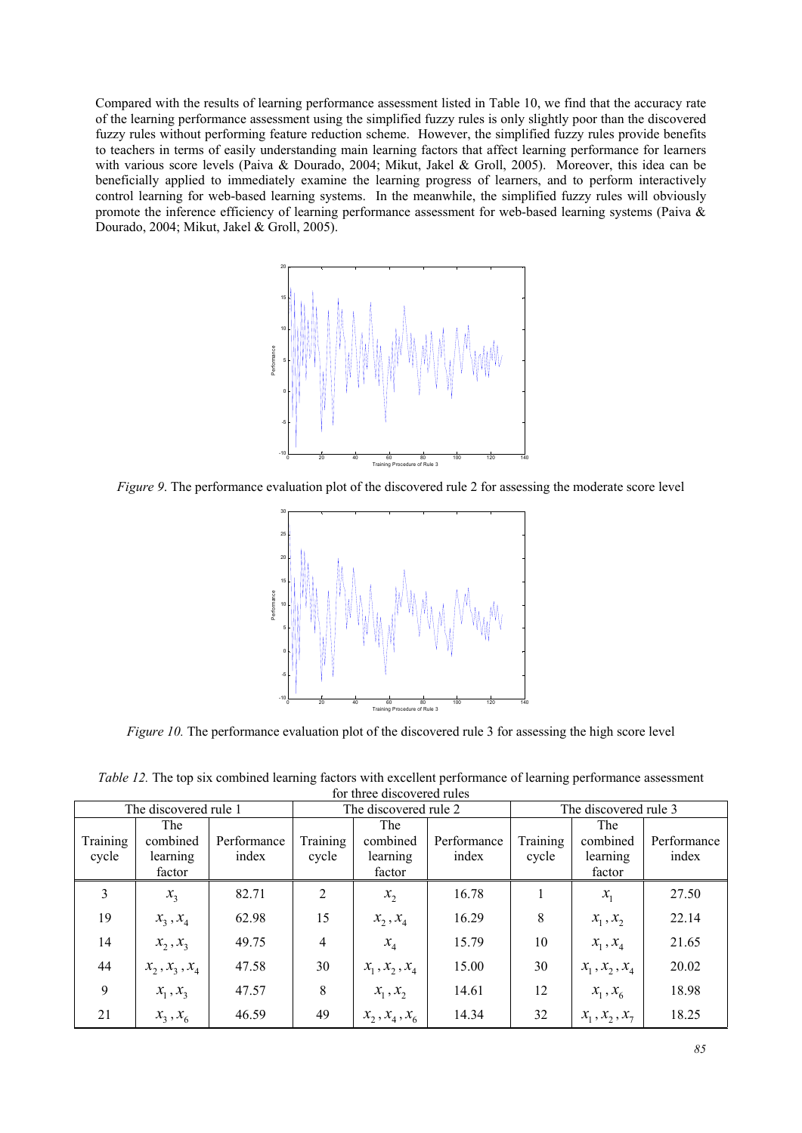Compared with the results of learning performance assessment listed in Table 10, we find that the accuracy rate of the learning performance assessment using the simplified fuzzy rules is only slightly poor than the discovered fuzzy rules without performing feature reduction scheme. However, the simplified fuzzy rules provide benefits to teachers in terms of easily understanding main learning factors that affect learning performance for learners with various score levels (Paiva & Dourado, 2004; Mikut, Jakel & Groll, 2005). Moreover, this idea can be beneficially applied to immediately examine the learning progress of learners, and to perform interactively control learning for web-based learning systems. In the meanwhile, the simplified fuzzy rules will obviously promote the inference efficiency of learning performance assessment for web-based learning systems (Paiva & Dourado, 2004; Mikut, Jakel & Groll, 2005).



*Figure 9.* The performance evaluation plot of the discovered rule 2 for assessing the moderate score level



*Figure 10.* The performance evaluation plot of the discovered rule 3 for assessing the high score level

*Table 12.* The top six combined learning factors with excellent performance of learning performance assessment for three discovered rules

| <u>tul ulice ulseuveleu luies</u> |                 |                       |          |                 |                       |          |                 |             |
|-----------------------------------|-----------------|-----------------------|----------|-----------------|-----------------------|----------|-----------------|-------------|
| The discovered rule 1             |                 | The discovered rule 2 |          |                 | The discovered rule 3 |          |                 |             |
|                                   | <b>The</b>      |                       |          | <b>The</b>      |                       |          | <b>The</b>      |             |
| Training                          | combined        | Performance           | Training | combined        | Performance           | Training | combined        | Performance |
| cycle                             | learning        | index                 | cycle    | learning        | index                 | cycle    | learning        | index       |
|                                   | factor          |                       |          | factor          |                       |          | factor          |             |
| 3                                 | $x_{3}$         | 82.71                 | 2        | $x_{2}$         | 16.78                 |          | $x_{1}$         | 27.50       |
| 19                                | $x_3, x_4$      | 62.98                 | 15       | $x_2, x_4$      | 16.29                 | 8        | $x_1, x_2$      | 22.14       |
| 14                                | $x_2, x_3$      | 49.75                 | 4        | $x_4$           | 15.79                 | 10       | $x_1, x_4$      | 21.65       |
| 44                                | $x_2, x_3, x_4$ | 47.58                 | 30       | $x_1, x_2, x_4$ | 15.00                 | 30       | $x_1, x_2, x_4$ | 20.02       |
| 9                                 | $x_1, x_3$      | 47.57                 | 8        | $x_1, x_2$      | 14.61                 | 12       | $x_1, x_6$      | 18.98       |
| 21                                | $x_3, x_6$      | 46.59                 | 49       | $x_2, x_4, x_6$ | 14.34                 | 32       | $x_1, x_2, x_7$ | 18.25       |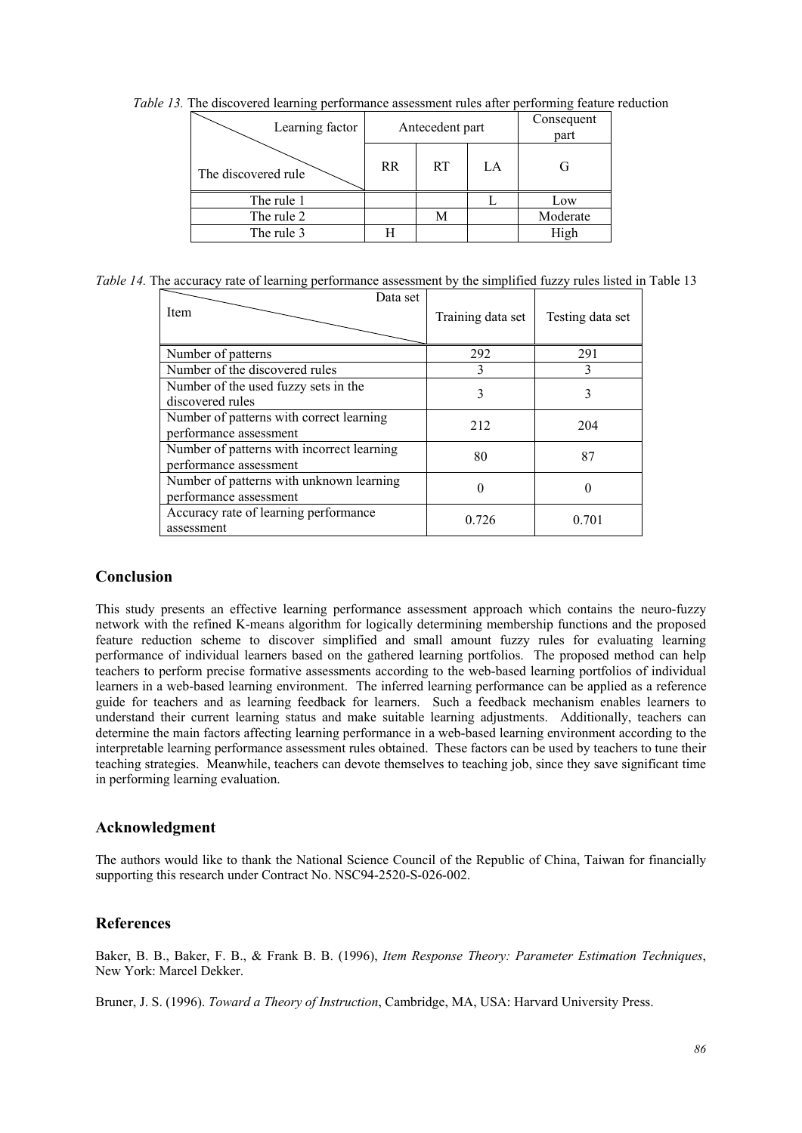*Table 13.* The discovered learning performance assessment rules after performing feature reduction

| Learning factor     | Antecedent part |    |    | Consequent<br>part |
|---------------------|-----------------|----|----|--------------------|
| The discovered rule | <b>RR</b>       | RT | LA | G                  |
| The rule 1          |                 |    |    | Low                |
| The rule 2          |                 | Μ  |    | Moderate           |
| The rule 3          |                 |    |    | High               |

*Table 14.* The accuracy rate of learning performance assessment by the simplified fuzzy rules listed in Table 13

| Data set<br><b>Item</b>                                              | Training data set | Testing data set |
|----------------------------------------------------------------------|-------------------|------------------|
| Number of patterns                                                   | 292               | 291              |
| Number of the discovered rules                                       | 3                 |                  |
| Number of the used fuzzy sets in the<br>discovered rules             | 3                 | 3                |
| Number of patterns with correct learning<br>performance assessment   | 212               | 204              |
| Number of patterns with incorrect learning<br>performance assessment | 80                | 87               |
| Number of patterns with unknown learning<br>performance assessment   | 0                 |                  |
| Accuracy rate of learning performance<br>assessment                  | 0.726             | 0.701            |

# **Conclusion**

This study presents an effective learning performance assessment approach which contains the neuro-fuzzy network with the refined K-means algorithm for logically determining membership functions and the proposed feature reduction scheme to discover simplified and small amount fuzzy rules for evaluating learning performance of individual learners based on the gathered learning portfolios. The proposed method can help teachers to perform precise formative assessments according to the web-based learning portfolios of individual learners in a web-based learning environment. The inferred learning performance can be applied as a reference guide for teachers and as learning feedback for learners. Such a feedback mechanism enables learners to understand their current learning status and make suitable learning adjustments. Additionally, teachers can determine the main factors affecting learning performance in a web-based learning environment according to the interpretable learning performance assessment rules obtained. These factors can be used by teachers to tune their teaching strategies. Meanwhile, teachers can devote themselves to teaching job, since they save significant time in performing learning evaluation.

# **Acknowledgment**

The authors would like to thank the National Science Council of the Republic of China, Taiwan for financially supporting this research under Contract No. NSC94-2520-S-026-002.

# **References**

Baker, B. B., Baker, F. B., & Frank B. B. (1996), *Item Response Theory: Parameter Estimation Techniques*, New York: Marcel Dekker.

Bruner, J. S. (1996). *Toward a Theory of Instruction*, Cambridge, MA, USA: Harvard University Press.